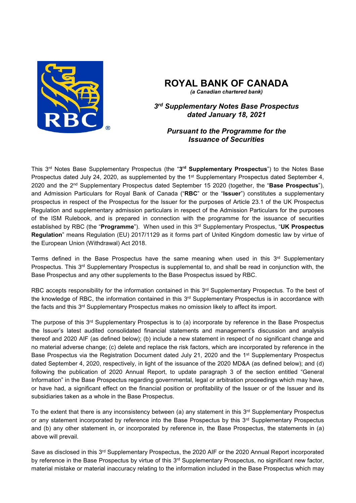

# **ROYAL BANK OF CANADA**

*(a Canadian chartered bank)*

*3rd Supplementary Notes Base Prospectus dated January 18, 2021* 

*Pursuant to the Programme for the Issuance of Securities* 

This 3rd Notes Base Supplementary Prospectus (the "**3rd Supplementary Prospectus**") to the Notes Base Prospectus dated July 24, 2020, as supplemented by the 1<sup>st</sup> Supplementary Prospectus dated September 4, 2020 and the 2nd Supplementary Prospectus dated September 15 2020 (together, the "**Base Prospectus**"), and Admission Particulars for Royal Bank of Canada ("**RBC**" or the "**Issuer**") constitutes a supplementary prospectus in respect of the Prospectus for the Issuer for the purposes of Article 23.1 of the UK Prospectus Regulation and supplementary admission particulars in respect of the Admission Particulars for the purposes of the ISM Rulebook, and is prepared in connection with the programme for the issuance of securities established by RBC (the "**Programme**"). When used in this 3rd Supplementary Prospectus, "**UK Prospectus Regulation**" means Regulation (EU) 2017/1129 as it forms part of United Kingdom domestic law by virtue of the European Union (Withdrawal) Act 2018.

Terms defined in the Base Prospectus have the same meaning when used in this  $3<sup>rd</sup>$  Supplementary Prospectus. This 3<sup>rd</sup> Supplementary Prospectus is supplemental to, and shall be read in conjunction with, the Base Prospectus and any other supplements to the Base Prospectus issued by RBC.

RBC accepts responsibility for the information contained in this 3<sup>rd</sup> Supplementary Prospectus. To the best of the knowledge of RBC, the information contained in this 3rd Supplementary Prospectus is in accordance with the facts and this 3<sup>rd</sup> Supplementary Prospectus makes no omission likely to affect its import.

The purpose of this 3<sup>rd</sup> Supplementary Prospectus is to (a) incorporate by reference in the Base Prospectus the Issuer's latest audited consolidated financial statements and management's discussion and analysis thereof and 2020 AIF (as defined below); (b) include a new statement in respect of no significant change and no material adverse change; (c) delete and replace the risk factors, which are incorporated by reference in the Base Prospectus via the Registration Document dated July 21, 2020 and the 1st Supplementary Prospectus dated September 4, 2020, respectively, in light of the issuance of the 2020 MD&A (as defined below); and (d) following the publication of 2020 Annual Report, to update paragraph 3 of the section entitled "General Information" in the Base Prospectus regarding governmental, legal or arbitration proceedings which may have, or have had, a significant effect on the financial position or profitability of the Issuer or of the Issuer and its subsidiaries taken as a whole in the Base Prospectus.

To the extent that there is any inconsistency between (a) any statement in this 3<sup>rd</sup> Supplementary Prospectus or any statement incorporated by reference into the Base Prospectus by this  $3<sup>rd</sup>$  Supplementary Prospectus and (b) any other statement in, or incorporated by reference in, the Base Prospectus, the statements in (a) above will prevail.

Save as disclosed in this 3<sup>rd</sup> Supplementary Prospectus, the 2020 AIF or the 2020 Annual Report incorporated by reference in the Base Prospectus by virtue of this 3<sup>rd</sup> Supplementary Prospectus, no significant new factor, material mistake or material inaccuracy relating to the information included in the Base Prospectus which may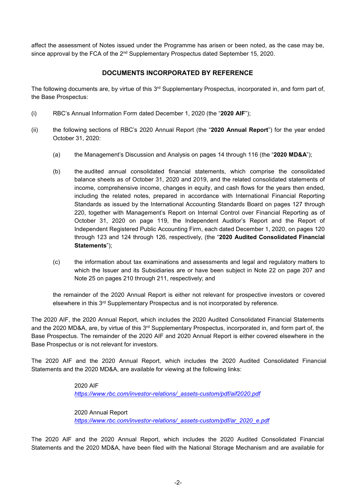affect the assessment of Notes issued under the Programme has arisen or been noted, as the case may be, since approval by the FCA of the 2<sup>nd</sup> Supplementary Prospectus dated September 15, 2020.

# **DOCUMENTS INCORPORATED BY REFERENCE**

The following documents are, by virtue of this 3rd Supplementary Prospectus, incorporated in, and form part of, the Base Prospectus:

- (i) RBC's Annual Information Form dated December 1, 2020 (the "**2020 AIF**");
- (ii) the following sections of RBC's 2020 Annual Report (the "**2020 Annual Report**") for the year ended October 31, 2020:
	- (a) the Management's Discussion and Analysis on pages 14 through 116 (the "**2020 MD&A**");
	- (b) the audited annual consolidated financial statements, which comprise the consolidated balance sheets as of October 31, 2020 and 2019, and the related consolidated statements of income, comprehensive income, changes in equity, and cash flows for the years then ended, including the related notes, prepared in accordance with International Financial Reporting Standards as issued by the International Accounting Standards Board on pages 127 through 220, together with Management's Report on Internal Control over Financial Reporting as of October 31, 2020 on page 119, the Independent Auditor's Report and the Report of Independent Registered Public Accounting Firm, each dated December 1, 2020, on pages 120 through 123 and 124 through 126, respectively, (the "**2020 Audited Consolidated Financial Statements**");
	- (c) the information about tax examinations and assessments and legal and regulatory matters to which the Issuer and its Subsidiaries are or have been subject in Note 22 on page 207 and Note 25 on pages 210 through 211, respectively; and

the remainder of the 2020 Annual Report is either not relevant for prospective investors or covered elsewhere in this 3rd Supplementary Prospectus and is not incorporated by reference.

The 2020 AIF, the 2020 Annual Report, which includes the 2020 Audited Consolidated Financial Statements and the 2020 MD&A, are, by virtue of this 3<sup>rd</sup> Supplementary Prospectus, incorporated in, and form part of, the Base Prospectus. The remainder of the 2020 AIF and 2020 Annual Report is either covered elsewhere in the Base Prospectus or is not relevant for investors.

The 2020 AIF and the 2020 Annual Report, which includes the 2020 Audited Consolidated Financial Statements and the 2020 MD&A, are available for viewing at the following links:

#### 2020 AIF

 *https://www.rbc.com/investor-relations/\_assets-custom/pdf/aif2020.pdf* 

 2020 Annual Report  *https://www.rbc.com/investor-relations/\_assets-custom/pdf/ar\_2020\_e.pdf* 

The 2020 AIF and the 2020 Annual Report, which includes the 2020 Audited Consolidated Financial Statements and the 2020 MD&A, have been filed with the National Storage Mechanism and are available for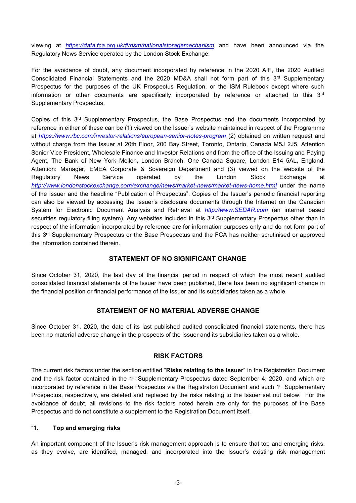viewing at *https://data.fca.org.uk/#/nsm/nationalstoragemechanism* and have been announced via the Regulatory News Service operated by the London Stock Exchange.

For the avoidance of doubt, any document incorporated by reference in the 2020 AIF, the 2020 Audited Consolidated Financial Statements and the 2020 MD&A shall not form part of this 3<sup>rd</sup> Supplementary Prospectus for the purposes of the UK Prospectus Regulation, or the ISM Rulebook except where such information or other documents are specifically incorporated by reference or attached to this 3rd Supplementary Prospectus.

Copies of this  $3<sup>rd</sup>$  Supplementary Prospectus, the Base Prospectus and the documents incorporated by reference in either of these can be (1) viewed on the Issuer's website maintained in respect of the Programme at *https://www.rbc.com/investor-relations/european-senior-notes-program* (2) obtained on written request and without charge from the Issuer at 20th Floor, 200 Bay Street, Toronto, Ontario, Canada M5J 2J5, Attention Senior Vice President, Wholesale Finance and Investor Relations and from the office of the Issuing and Paying Agent, The Bank of New York Mellon, London Branch, One Canada Square, London E14 5AL, England, Attention: Manager, EMEA Corporate & Sovereign Department and (3) viewed on the website of the Regulatory News Service operated by the London Stock Exchange at http://www.londonstockexchange.com/exchange/news/market-news/market-news-home.html under the name of the Issuer and the headline "Publication of Prospectus". Copies of the Issuer's periodic financial reporting can also be viewed by accessing the Issuer's disclosure documents through the Internet on the Canadian System for Electronic Document Analysis and Retrieval at *http://www.SEDAR.com* (an internet based securities regulatory filing system). Any websites included in this 3<sup>rd</sup> Supplementary Prospectus other than in respect of the information incorporated by reference are for information purposes only and do not form part of this 3<sup>rd</sup> Supplementary Prospectus or the Base Prospectus and the FCA has neither scrutinised or approved the information contained therein.

## **STATEMENT OF NO SIGNIFICANT CHANGE**

Since October 31, 2020, the last day of the financial period in respect of which the most recent audited consolidated financial statements of the Issuer have been published, there has been no significant change in the financial position or financial performance of the Issuer and its subsidiaries taken as a whole.

## **STATEMENT OF NO MATERIAL ADVERSE CHANGE**

Since October 31, 2020, the date of its last published audited consolidated financial statements, there has been no material adverse change in the prospects of the Issuer and its subsidiaries taken as a whole.

#### **RISK FACTORS**

The current risk factors under the section entitled "**Risks relating to the Issuer**" in the Registration Document and the risk factor contained in the 1<sup>st</sup> Supplementary Prospectus dated September 4, 2020, and which are incorporated by reference in the Base Prospectus via the Registraton Document and such  $1<sup>st</sup>$  Supplementary Prospectus, respectively, are deleted and replaced by the risks relating to the Issuer set out below. For the avoidance of doubt, all revisions to the risk factors noted herein are only for the purposes of the Base Prospectus and do not constitute a supplement to the Registration Document itself.

#### "**1. Top and emerging risks**

An important component of the Issuer's risk management approach is to ensure that top and emerging risks, as they evolve, are identified, managed, and incorporated into the Issuer's existing risk management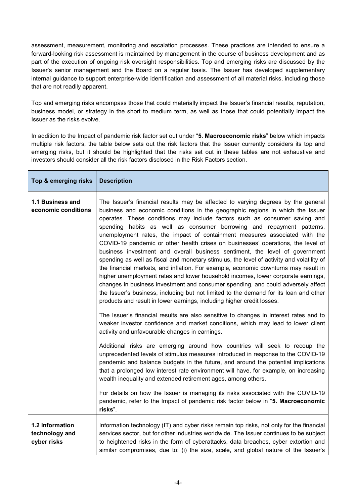assessment, measurement, monitoring and escalation processes. These practices are intended to ensure a forward-looking risk assessment is maintained by management in the course of business development and as part of the execution of ongoing risk oversight responsibilities. Top and emerging risks are discussed by the Issuer's senior management and the Board on a regular basis. The Issuer has developed supplementary internal guidance to support enterprise-wide identification and assessment of all material risks, including those that are not readily apparent.

Top and emerging risks encompass those that could materially impact the Issuer's financial results, reputation, business model, or strategy in the short to medium term, as well as those that could potentially impact the Issuer as the risks evolve.

In addition to the Impact of pandemic risk factor set out under "**5. Macroeconomic risks**" below which impacts multiple risk factors, the table below sets out the risk factors that the Issuer currently considers its top and emerging risks, but it should be highlighted that the risks set out in these tables are not exhaustive and investors should consider all the risk factors disclosed in the Risk Factors section.

| Top & emerging risks                             | <b>Description</b>                                                                                                                                                                                                                                                                                                                                                                                                                                                                                                                                                                                                                                                                                                                                                                                                                                                                                                                                                                                                                                                                                                                                                                                                                                                                                                                                                                                                                                                                                                                                                                                                                                                                                                                                                                                                                                                                                                                          |
|--------------------------------------------------|---------------------------------------------------------------------------------------------------------------------------------------------------------------------------------------------------------------------------------------------------------------------------------------------------------------------------------------------------------------------------------------------------------------------------------------------------------------------------------------------------------------------------------------------------------------------------------------------------------------------------------------------------------------------------------------------------------------------------------------------------------------------------------------------------------------------------------------------------------------------------------------------------------------------------------------------------------------------------------------------------------------------------------------------------------------------------------------------------------------------------------------------------------------------------------------------------------------------------------------------------------------------------------------------------------------------------------------------------------------------------------------------------------------------------------------------------------------------------------------------------------------------------------------------------------------------------------------------------------------------------------------------------------------------------------------------------------------------------------------------------------------------------------------------------------------------------------------------------------------------------------------------------------------------------------------------|
| 1.1 Business and<br>economic conditions          | The Issuer's financial results may be affected to varying degrees by the general<br>business and economic conditions in the geographic regions in which the Issuer<br>operates. These conditions may include factors such as consumer saving and<br>spending habits as well as consumer borrowing and repayment patterns,<br>unemployment rates, the impact of containment measures associated with the<br>COVID-19 pandemic or other health crises on businesses' operations, the level of<br>business investment and overall business sentiment, the level of government<br>spending as well as fiscal and monetary stimulus, the level of activity and volatility of<br>the financial markets, and inflation. For example, economic downturns may result in<br>higher unemployment rates and lower household incomes, lower corporate earnings,<br>changes in business investment and consumer spending, and could adversely affect<br>the Issuer's business, including but not limited to the demand for its loan and other<br>products and result in lower earnings, including higher credit losses.<br>The Issuer's financial results are also sensitive to changes in interest rates and to<br>weaker investor confidence and market conditions, which may lead to lower client<br>activity and unfavourable changes in earnings.<br>Additional risks are emerging around how countries will seek to recoup the<br>unprecedented levels of stimulus measures introduced in response to the COVID-19<br>pandemic and balance budgets in the future, and around the potential implications<br>that a prolonged low interest rate environment will have, for example, on increasing<br>wealth inequality and extended retirement ages, among others.<br>For details on how the Issuer is managing its risks associated with the COVID-19<br>pandemic, refer to the Impact of pandemic risk factor below in "5. Macroeconomic<br>risks". |
| 1.2 Information<br>technology and<br>cyber risks | Information technology (IT) and cyber risks remain top risks, not only for the financial<br>services sector, but for other industries worldwide. The Issuer continues to be subject<br>to heightened risks in the form of cyberattacks, data breaches, cyber extortion and<br>similar compromises, due to: (i) the size, scale, and global nature of the Issuer's                                                                                                                                                                                                                                                                                                                                                                                                                                                                                                                                                                                                                                                                                                                                                                                                                                                                                                                                                                                                                                                                                                                                                                                                                                                                                                                                                                                                                                                                                                                                                                           |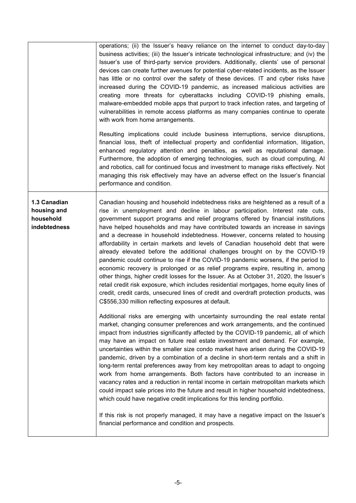|                                                          | operations; (ii) the Issuer's heavy reliance on the internet to conduct day-to-day<br>business activities; (iii) the Issuer's intricate technological infrastructure; and (iv) the<br>Issuer's use of third-party service providers. Additionally, clients' use of personal<br>devices can create further avenues for potential cyber-related incidents, as the Issuer<br>has little or no control over the safety of these devices. IT and cyber risks have<br>increased during the COVID-19 pandemic, as increased malicious activities are<br>creating more threats for cyberattacks including COVID-19 phishing emails,<br>malware-embedded mobile apps that purport to track infection rates, and targeting of<br>vulnerabilities in remote access platforms as many companies continue to operate<br>with work from home arrangements.<br>Resulting implications could include business interruptions, service disruptions,<br>financial loss, theft of intellectual property and confidential information, litigation,<br>enhanced regulatory attention and penalties, as well as reputational damage.<br>Furthermore, the adoption of emerging technologies, such as cloud computing, AI<br>and robotics, call for continued focus and investment to manage risks effectively. Not<br>managing this risk effectively may have an adverse effect on the Issuer's financial<br>performance and condition.                                                                                                                                                                                                                                                                                                                                                                                                                                                                                                                                                                                                                                                                 |
|----------------------------------------------------------|---------------------------------------------------------------------------------------------------------------------------------------------------------------------------------------------------------------------------------------------------------------------------------------------------------------------------------------------------------------------------------------------------------------------------------------------------------------------------------------------------------------------------------------------------------------------------------------------------------------------------------------------------------------------------------------------------------------------------------------------------------------------------------------------------------------------------------------------------------------------------------------------------------------------------------------------------------------------------------------------------------------------------------------------------------------------------------------------------------------------------------------------------------------------------------------------------------------------------------------------------------------------------------------------------------------------------------------------------------------------------------------------------------------------------------------------------------------------------------------------------------------------------------------------------------------------------------------------------------------------------------------------------------------------------------------------------------------------------------------------------------------------------------------------------------------------------------------------------------------------------------------------------------------------------------------------------------------------------------------------------------------------------------------------------------------------------------|
| 1.3 Canadian<br>housing and<br>household<br>indebtedness | Canadian housing and household indebtedness risks are heightened as a result of a<br>rise in unemployment and decline in labour participation. Interest rate cuts,<br>government support programs and relief programs offered by financial institutions<br>have helped households and may have contributed towards an increase in savings<br>and a decrease in household indebtedness. However, concerns related to housing<br>affordability in certain markets and levels of Canadian household debt that were<br>already elevated before the additional challenges brought on by the COVID-19<br>pandemic could continue to rise if the COVID-19 pandemic worsens, if the period to<br>economic recovery is prolonged or as relief programs expire, resulting in, among<br>other things, higher credit losses for the Issuer. As at October 31, 2020, the Issuer's<br>retail credit risk exposure, which includes residential mortgages, home equity lines of<br>credit, credit cards, unsecured lines of credit and overdraft protection products, was<br>C\$556,330 million reflecting exposures at default.<br>Additional risks are emerging with uncertainty surrounding the real estate rental<br>market, changing consumer preferences and work arrangements, and the continued<br>impact from industries significantly affected by the COVID-19 pandemic, all of which<br>may have an impact on future real estate investment and demand. For example,<br>uncertainties within the smaller size condo market have arisen during the COVID-19<br>pandemic, driven by a combination of a decline in short-term rentals and a shift in<br>long-term rental preferences away from key metropolitan areas to adapt to ongoing<br>work from home arrangements. Both factors have contributed to an increase in<br>vacancy rates and a reduction in rental income in certain metropolitan markets which<br>could impact sale prices into the future and result in higher household indebtedness,<br>which could have negative credit implications for this lending portfolio. |
|                                                          | If this risk is not properly managed, it may have a negative impact on the Issuer's<br>financial performance and condition and prospects.                                                                                                                                                                                                                                                                                                                                                                                                                                                                                                                                                                                                                                                                                                                                                                                                                                                                                                                                                                                                                                                                                                                                                                                                                                                                                                                                                                                                                                                                                                                                                                                                                                                                                                                                                                                                                                                                                                                                       |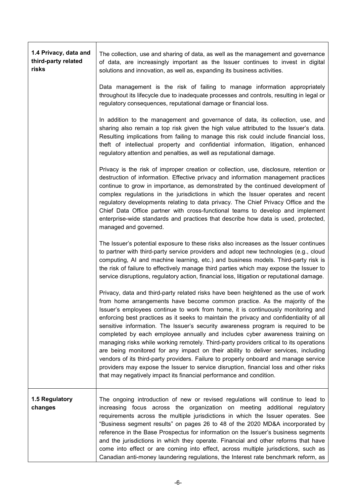| 1.4 Privacy, data and<br>third-party related<br>risks | The collection, use and sharing of data, as well as the management and governance<br>of data, are increasingly important as the Issuer continues to invest in digital<br>solutions and innovation, as well as, expanding its business activities.                                                                                                                                                                                                                                                                                                                                                                                                                                                                                                                                                                                                                                                                                                             |
|-------------------------------------------------------|---------------------------------------------------------------------------------------------------------------------------------------------------------------------------------------------------------------------------------------------------------------------------------------------------------------------------------------------------------------------------------------------------------------------------------------------------------------------------------------------------------------------------------------------------------------------------------------------------------------------------------------------------------------------------------------------------------------------------------------------------------------------------------------------------------------------------------------------------------------------------------------------------------------------------------------------------------------|
|                                                       | Data management is the risk of failing to manage information appropriately<br>throughout its lifecycle due to inadequate processes and controls, resulting in legal or<br>regulatory consequences, reputational damage or financial loss.                                                                                                                                                                                                                                                                                                                                                                                                                                                                                                                                                                                                                                                                                                                     |
|                                                       | In addition to the management and governance of data, its collection, use, and<br>sharing also remain a top risk given the high value attributed to the Issuer's data.<br>Resulting implications from failing to manage this risk could include financial loss,<br>theft of intellectual property and confidential information, litigation, enhanced<br>regulatory attention and penalties, as well as reputational damage.                                                                                                                                                                                                                                                                                                                                                                                                                                                                                                                                   |
|                                                       | Privacy is the risk of improper creation or collection, use, disclosure, retention or<br>destruction of information. Effective privacy and information management practices<br>continue to grow in importance, as demonstrated by the continued development of<br>complex regulations in the jurisdictions in which the Issuer operates and recent<br>regulatory developments relating to data privacy. The Chief Privacy Office and the<br>Chief Data Office partner with cross-functional teams to develop and implement<br>enterprise-wide standards and practices that describe how data is used, protected,<br>managed and governed.                                                                                                                                                                                                                                                                                                                     |
|                                                       | The Issuer's potential exposure to these risks also increases as the Issuer continues<br>to partner with third-party service providers and adopt new technologies (e.g., cloud<br>computing, AI and machine learning, etc.) and business models. Third-party risk is<br>the risk of failure to effectively manage third parties which may expose the Issuer to<br>service disruptions, regulatory action, financial loss, litigation or reputational damage.                                                                                                                                                                                                                                                                                                                                                                                                                                                                                                  |
|                                                       | Privacy, data and third-party related risks have been heightened as the use of work<br>from home arrangements have become common practice. As the majority of the<br>Issuer's employees continue to work from home, it is continuously monitoring and<br>enforcing best practices as it seeks to maintain the privacy and confidentiality of all<br>sensitive information. The Issuer's security awareness program is required to be<br>completed by each employee annually and includes cyber awareness training on<br>managing risks while working remotely. Third-party providers critical to its operations<br>are being monitored for any impact on their ability to deliver services, including<br>vendors of its third-party providers. Failure to properly onboard and manage service<br>providers may expose the Issuer to service disruption, financial loss and other risks<br>that may negatively impact its financial performance and condition. |
| 1.5 Regulatory<br>changes                             | The ongoing introduction of new or revised regulations will continue to lead to<br>increasing focus across the organization on meeting additional regulatory<br>requirements across the multiple jurisdictions in which the Issuer operates. See<br>"Business segment results" on pages 26 to 48 of the 2020 MD&A incorporated by<br>reference in the Base Prospectus for information on the Issuer's business segments<br>and the jurisdictions in which they operate. Financial and other reforms that have<br>come into effect or are coming into effect, across multiple jurisdictions, such as<br>Canadian anti-money laundering regulations, the Interest rate benchmark reform, as                                                                                                                                                                                                                                                                     |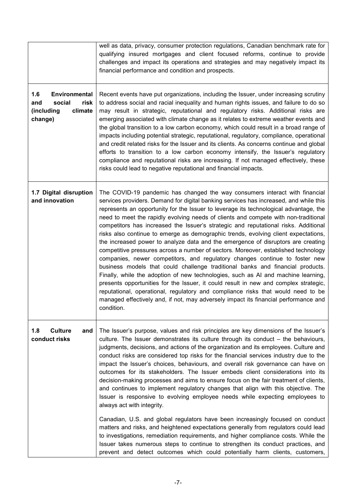|                                                                                          | well as data, privacy, consumer protection regulations, Canadian benchmark rate for<br>qualifying insured mortgages and client focused reforms, continue to provide<br>challenges and impact its operations and strategies and may negatively impact its<br>financial performance and condition and prospects.                                                                                                                                                                                                                                                                                                                                                                                                                                                                                                                                                                                                                                                                                                                                                                                                                                                                                                                                     |
|------------------------------------------------------------------------------------------|----------------------------------------------------------------------------------------------------------------------------------------------------------------------------------------------------------------------------------------------------------------------------------------------------------------------------------------------------------------------------------------------------------------------------------------------------------------------------------------------------------------------------------------------------------------------------------------------------------------------------------------------------------------------------------------------------------------------------------------------------------------------------------------------------------------------------------------------------------------------------------------------------------------------------------------------------------------------------------------------------------------------------------------------------------------------------------------------------------------------------------------------------------------------------------------------------------------------------------------------------|
| 1.6<br><b>Environmental</b><br>social<br>risk<br>and<br>(including<br>climate<br>change) | Recent events have put organizations, including the Issuer, under increasing scrutiny<br>to address social and racial inequality and human rights issues, and failure to do so<br>may result in strategic, reputational and regulatory risks. Additional risks are<br>emerging associated with climate change as it relates to extreme weather events and<br>the global transition to a low carbon economy, which could result in a broad range of<br>impacts including potential strategic, reputational, regulatory, compliance, operational<br>and credit related risks for the Issuer and its clients. As concerns continue and global<br>efforts to transition to a low carbon economy intensify, the Issuer's regulatory<br>compliance and reputational risks are increasing. If not managed effectively, these<br>risks could lead to negative reputational and financial impacts.                                                                                                                                                                                                                                                                                                                                                          |
| 1.7 Digital disruption<br>and innovation                                                 | The COVID-19 pandemic has changed the way consumers interact with financial<br>services providers. Demand for digital banking services has increased, and while this<br>represents an opportunity for the Issuer to leverage its technological advantage, the<br>need to meet the rapidly evolving needs of clients and compete with non-traditional<br>competitors has increased the Issuer's strategic and reputational risks. Additional<br>risks also continue to emerge as demographic trends, evolving client expectations,<br>the increased power to analyze data and the emergence of disruptors are creating<br>competitive pressures across a number of sectors. Moreover, established technology<br>companies, newer competitors, and regulatory changes continue to foster new<br>business models that could challenge traditional banks and financial products.<br>Finally, while the adoption of new technologies, such as AI and machine learning,<br>presents opportunities for the Issuer, it could result in new and complex strategic,<br>reputational, operational, regulatory and compliance risks that would need to be<br>managed effectively and, if not, may adversely impact its financial performance and<br>condition. |
| 1.8<br><b>Culture</b><br>and<br>conduct risks                                            | The Issuer's purpose, values and risk principles are key dimensions of the Issuer's<br>culture. The Issuer demonstrates its culture through its conduct - the behaviours,<br>judgments, decisions, and actions of the organization and its employees. Culture and<br>conduct risks are considered top risks for the financial services industry due to the<br>impact the Issuer's choices, behaviours, and overall risk governance can have on<br>outcomes for its stakeholders. The Issuer embeds client considerations into its<br>decision-making processes and aims to ensure focus on the fair treatment of clients,<br>and continues to implement regulatory changes that align with this objective. The<br>Issuer is responsive to evolving employee needs while expecting employees to<br>always act with integrity.<br>Canadian, U.S. and global regulators have been increasingly focused on conduct<br>matters and risks, and heightened expectations generally from regulators could lead                                                                                                                                                                                                                                              |
|                                                                                          | to investigations, remediation requirements, and higher compliance costs. While the<br>Issuer takes numerous steps to continue to strengthen its conduct practices, and<br>prevent and detect outcomes which could potentially harm clients, customers,                                                                                                                                                                                                                                                                                                                                                                                                                                                                                                                                                                                                                                                                                                                                                                                                                                                                                                                                                                                            |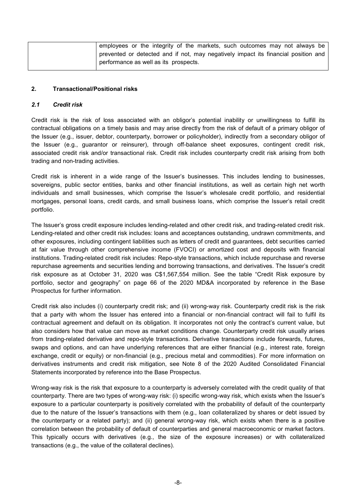| employees or the integrity of the markets, such outcomes may not always be         |
|------------------------------------------------------------------------------------|
| prevented or detected and if not, may negatively impact its financial position and |
| performance as well as its prospects.                                              |

#### **2. Transactional/Positional risks**

#### *2.1 Credit risk*

Credit risk is the risk of loss associated with an obligor's potential inability or unwillingness to fulfill its contractual obligations on a timely basis and may arise directly from the risk of default of a primary obligor of the Issuer (e.g., issuer, debtor, counterparty, borrower or policyholder), indirectly from a secondary obligor of the Issuer (e.g., guarantor or reinsurer), through off-balance sheet exposures, contingent credit risk, associated credit risk and/or transactional risk. Credit risk includes counterparty credit risk arising from both trading and non-trading activities.

Credit risk is inherent in a wide range of the Issuer's businesses. This includes lending to businesses, sovereigns, public sector entities, banks and other financial institutions, as well as certain high net worth individuals and small businesses, which comprise the Issuer's wholesale credit portfolio, and residential mortgages, personal loans, credit cards, and small business loans, which comprise the Issuer's retail credit portfolio.

The Issuer's gross credit exposure includes lending-related and other credit risk, and trading-related credit risk. Lending-related and other credit risk includes: loans and acceptances outstanding, undrawn commitments, and other exposures, including contingent liabilities such as letters of credit and guarantees, debt securities carried at fair value through other comprehensive income (FVOCI) or amortized cost and deposits with financial institutions. Trading-related credit risk includes: Repo-style transactions, which include repurchase and reverse repurchase agreements and securities lending and borrowing transactions, and derivatives. The Issuer's credit risk exposure as at October 31, 2020 was C\$1,567,554 million. See the table "Credit Risk exposure by portfolio, sector and geography" on page 66 of the 2020 MD&A incorporated by reference in the Base Prospectus for further information.

Credit risk also includes (i) counterparty credit risk; and (ii) wrong-way risk. Counterparty credit risk is the risk that a party with whom the Issuer has entered into a financial or non-financial contract will fail to fulfil its contractual agreement and default on its obligation. It incorporates not only the contract's current value, but also considers how that value can move as market conditions change. Counterparty credit risk usually arises from trading-related derivative and repo-style transactions. Derivative transactions include forwards, futures, swaps and options, and can have underlying references that are either financial (e.g., interest rate, foreign exchange, credit or equity) or non-financial (e.g., precious metal and commodities). For more information on derivatives instruments and credit risk mitigation, see Note 8 of the 2020 Audited Consolidated Financial Statements incorporated by reference into the Base Prospectus.

Wrong-way risk is the risk that exposure to a counterparty is adversely correlated with the credit quality of that counterparty. There are two types of wrong-way risk: (i) specific wrong-way risk, which exists when the Issuer's exposure to a particular counterparty is positively correlated with the probability of default of the counterparty due to the nature of the Issuer's transactions with them (e.g., loan collateralized by shares or debt issued by the counterparty or a related party); and (ii) general wrong-way risk, which exists when there is a positive correlation between the probability of default of counterparties and general macroeconomic or market factors. This typically occurs with derivatives (e.g., the size of the exposure increases) or with collateralized transactions (e.g., the value of the collateral declines).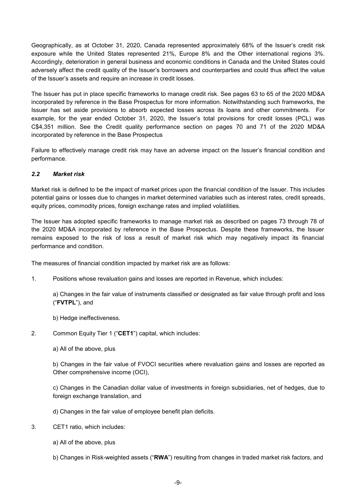Geographically, as at October 31, 2020, Canada represented approximately 68% of the Issuer's credit risk exposure while the United States represented 21%, Europe 8% and the Other international regions 3%. Accordingly, deterioration in general business and economic conditions in Canada and the United States could adversely affect the credit quality of the Issuer's borrowers and counterparties and could thus affect the value of the Issuer's assets and require an increase in credit losses.

The Issuer has put in place specific frameworks to manage credit risk. See pages 63 to 65 of the 2020 MD&A incorporated by reference in the Base Prospectus for more information. Notwithstanding such frameworks, the Issuer has set aside provisions to absorb expected losses across its loans and other commitments. For example, for the year ended October 31, 2020, the Issuer's total provisions for credit losses (PCL) was C\$4,351 million. See the Credit quality performance section on pages 70 and 71 of the 2020 MD&A incorporated by reference in the Base Prospectus

Failure to effectively manage credit risk may have an adverse impact on the Issuer's financial condition and performance.

#### *2.2 Market risk*

Market risk is defined to be the impact of market prices upon the financial condition of the Issuer. This includes potential gains or losses due to changes in market determined variables such as interest rates, credit spreads, equity prices, commodity prices, foreign exchange rates and implied volatilities.

The Issuer has adopted specific frameworks to manage market risk as described on pages 73 through 78 of the 2020 MD&A incorporated by reference in the Base Prospectus. Despite these frameworks, the Issuer remains exposed to the risk of loss a result of market risk which may negatively impact its financial performance and condition.

The measures of financial condition impacted by market risk are as follows:

1. Positions whose revaluation gains and losses are reported in Revenue, which includes:

a) Changes in the fair value of instruments classified or designated as fair value through profit and loss ("**FVTPL**"), and

b) Hedge ineffectiveness.

- 2. Common Equity Tier 1 ("**CET1**") capital, which includes:
	- a) All of the above, plus

b) Changes in the fair value of FVOCI securities where revaluation gains and losses are reported as Other comprehensive income (OCI),

c) Changes in the Canadian dollar value of investments in foreign subsidiaries, net of hedges, due to foreign exchange translation, and

d) Changes in the fair value of employee benefit plan deficits.

- 3. CET1 ratio, which includes:
	- a) All of the above, plus
	- b) Changes in Risk-weighted assets ("**RWA**") resulting from changes in traded market risk factors, and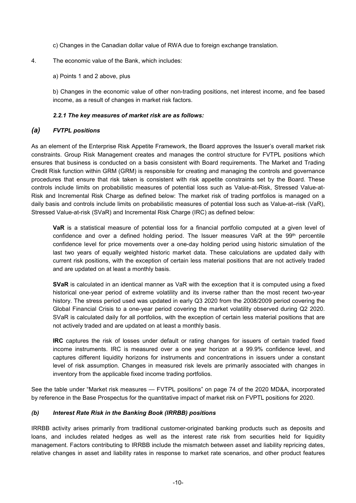- c) Changes in the Canadian dollar value of RWA due to foreign exchange translation.
- 4. The economic value of the Bank, which includes:
	- a) Points 1 and 2 above, plus

b) Changes in the economic value of other non-trading positions, net interest income, and fee based income, as a result of changes in market risk factors.

#### *2.2.1 The key measures of market risk are as follows:*

## *(a) FVTPL positions*

As an element of the Enterprise Risk Appetite Framework, the Board approves the Issuer's overall market risk constraints. Group Risk Management creates and manages the control structure for FVTPL positions which ensures that business is conducted on a basis consistent with Board requirements. The Market and Trading Credit Risk function within GRM (GRM) is responsible for creating and managing the controls and governance procedures that ensure that risk taken is consistent with risk appetite constraints set by the Board. These controls include limits on probabilistic measures of potential loss such as Value-at-Risk, Stressed Value-at-Risk and Incremental Risk Charge as defined below: The market risk of trading portfolios is managed on a daily basis and controls include limits on probabilistic measures of potential loss such as Value-at–risk (VaR), Stressed Value-at-risk (SVaR) and Incremental Risk Charge (IRC) as defined below:

**VaR** is a statistical measure of potential loss for a financial portfolio computed at a given level of confidence and over a defined holding period. The Issuer measures VaR at the 99th percentile confidence level for price movements over a one-day holding period using historic simulation of the last two years of equally weighted historic market data. These calculations are updated daily with current risk positions, with the exception of certain less material positions that are not actively traded and are updated on at least a monthly basis.

**SVaR** is calculated in an identical manner as VaR with the exception that it is computed using a fixed historical one-year period of extreme volatility and its inverse rather than the most recent two-year history. The stress period used was updated in early Q3 2020 from the 2008/2009 period covering the Global Financial Crisis to a one-year period covering the market volatility observed during Q2 2020. SVaR is calculated daily for all portfolios, with the exception of certain less material positions that are not actively traded and are updated on at least a monthly basis.

**IRC** captures the risk of losses under default or rating changes for issuers of certain traded fixed income instruments. IRC is measured over a one year horizon at a 99.9% confidence level, and captures different liquidity horizons for instruments and concentrations in issuers under a constant level of risk assumption. Changes in measured risk levels are primarily associated with changes in inventory from the applicable fixed income trading portfolios.

See the table under "Market risk measures — FVTPL positions" on page 74 of the 2020 MD&A, incorporated by reference in the Base Prospectus for the quantitative impact of market risk on FVPTL positions for 2020.

## *(b) Interest Rate Risk in the Banking Book (IRRBB) positions*

IRRBB activity arises primarily from traditional customer-originated banking products such as deposits and loans, and includes related hedges as well as the interest rate risk from securities held for liquidity management. Factors contributing to IRRBB include the mismatch between asset and liability repricing dates, relative changes in asset and liability rates in response to market rate scenarios, and other product features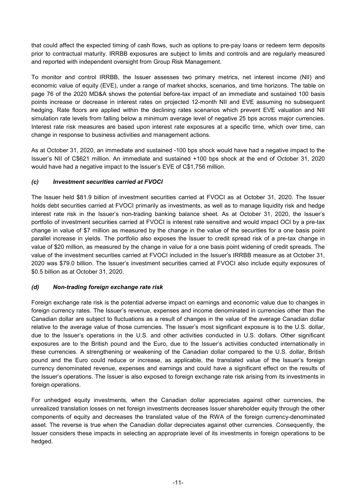that could affect the expected timing of cash flows, such as options to pre-pay loans or redeem term deposits prior to contractual maturity. IRRBB exposures are subject to limits and controls and are regularly measured and reported with independent oversight from Group Risk Management.

To monitor and control IRRBB, the Issuer assesses two primary metrics, net interest income (NII) and economic value of equity (EVE), under a range of market shocks, scenarios, and time horizons. The table on page 76 of the 2020 MD&A shows the potential before-tax impact of an immediate and sustained 100 basis points increase or decrease in interest rates on projected 12-month NII and EVE assuming no subsequent hedging. Rate floors are applied within the declining rates scenarios which prevent EVE valuation and NII simulation rate levels from falling below a minimum average level of negative 25 bps across major currencies. Interest rate risk measures are based upon interest rate exposures at a specific time, which over time, can change in response to business activities and management actions.

As at October 31, 2020, an immediate and sustained -100 bps shock would have had a negative impact to the Issuer's NII of C\$621 million. An immediate and sustained +100 bps shock at the end of October 31, 2020 would have had a negative impact to the Issuer's EVE of C\$1,756 million.

## *(c) Investment securities carried at FVOCI*

The Issuer held \$81.9 billion of investment securities carried at FVOCI as at October 31, 2020. The Issuer holds debt securities carried at FVOCI primarily as investments, as well as to manage liquidity risk and hedge interest rate risk in the Issuer's non-trading banking balance sheet. As at October 31, 2020, the Issuer's portfolio of investment securities carried at FVOCI is interest rate sensitive and would impact OCI by a pre-tax change in value of \$7 million as measured by the change in the value of the securities for a one basis point parallel increase in yields. The portfolio also exposes the Issuer to credit spread risk of a pre-tax change in value of \$20 million, as measured by the change in value for a one basis point widening of credit spreads. The value of the investment securities carried at FVOCI included in the Issuer's IRRBB measure as at October 31, 2020 was \$79.0 billion. The Issuer's investment securities carried at FVOCI also include equity exposures of \$0.5 billion as at October 31, 2020.

## *(d) Non-trading foreign exchange rate risk*

Foreign exchange rate risk is the potential adverse impact on earnings and economic value due to changes in foreign currency rates. The Issuer's revenue, expenses and income denominated in currencies other than the Canadian dollar are subject to fluctuations as a result of changes in the value of the average Canadian dollar relative to the average value of those currencies. The Issuer's most significant exposure is to the U.S. dollar, due to the Issuer's operations in the U.S. and other activities conducted in U.S. dollars. Other significant exposures are to the British pound and the Euro, due to the Issuer's activities conducted internationally in these currencies. A strengthening or weakening of the Canadian dollar compared to the U.S. dollar, British pound and the Euro could reduce or increase, as applicable, the translated value of the Issuer's foreign currency denominated revenue, expenses and earnings and could have a significant effect on the results of the Issuer's operations. The Issuer is also exposed to foreign exchange rate risk arising from its investments in foreign operations.

For unhedged equity investments, when the Canadian dollar appreciates against other currencies, the unrealized translation losses on net foreign investments decreases Issuer shareholder equity through the other components of equity and decreases the translated value of the RWA of the foreign currency-denominated asset. The reverse is true when the Canadian dollar depreciates against other currencies. Consequently, the Issuer considers these impacts in selecting an appropriate level of its investments in foreign operations to be hedged.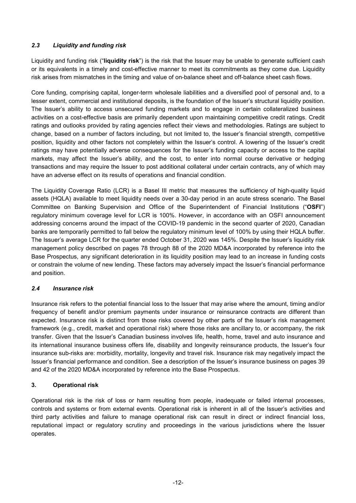## *2.3 Liquidity and funding risk*

Liquidity and funding risk ("**liquidity risk**") is the risk that the Issuer may be unable to generate sufficient cash or its equivalents in a timely and cost-effective manner to meet its commitments as they come due. Liquidity risk arises from mismatches in the timing and value of on-balance sheet and off-balance sheet cash flows.

Core funding, comprising capital, longer-term wholesale liabilities and a diversified pool of personal and, to a lesser extent, commercial and institutional deposits, is the foundation of the Issuer's structural liquidity position. The Issuer's ability to access unsecured funding markets and to engage in certain collateralized business activities on a cost-effective basis are primarily dependent upon maintaining competitive credit ratings. Credit ratings and outlooks provided by rating agencies reflect their views and methodologies. Ratings are subject to change, based on a number of factors including, but not limited to, the Issuer's financial strength, competitive position, liquidity and other factors not completely within the Issuer's control. A lowering of the Issuer's credit ratings may have potentially adverse consequences for the Issuer's funding capacity or access to the capital markets, may affect the Issuer's ability, and the cost, to enter into normal course derivative or hedging transactions and may require the Issuer to post additional collateral under certain contracts, any of which may have an adverse effect on its results of operations and financial condition.

The Liquidity Coverage Ratio (LCR) is a Basel III metric that measures the sufficiency of high-quality liquid assets (HQLA) available to meet liquidity needs over a 30-day period in an acute stress scenario. The Basel Committee on Banking Supervision and Office of the Superintendent of Financial Institutions ("**OSFI**") regulatory minimum coverage level for LCR is 100%. However, in accordance with an OSFI announcement addressing concerns around the impact of the COVID-19 pandemic in the second quarter of 2020, Canadian banks are temporarily permitted to fall below the regulatory minimum level of 100% by using their HQLA buffer. The Issuer's average LCR for the quarter ended October 31, 2020 was 145%. Despite the Issuer's liquidity risk management policy described on pages 78 through 88 of the 2020 MD&A incorporated by reference into the Base Prospectus, any significant deterioration in its liquidity position may lead to an increase in funding costs or constrain the volume of new lending. These factors may adversely impact the Issuer's financial performance and position.

## *2.4 Insurance risk*

Insurance risk refers to the potential financial loss to the Issuer that may arise where the amount, timing and/or frequency of benefit and/or premium payments under insurance or reinsurance contracts are different than expected. Insurance risk is distinct from those risks covered by other parts of the Issuer's risk management framework (e.g., credit, market and operational risk) where those risks are ancillary to, or accompany, the risk transfer. Given that the Issuer's Canadian business involves life, health, home, travel and auto insurance and its international insurance business offers life, disability and longevity reinsurance products, the Issuer's four insurance sub-risks are: morbidity, mortality, longevity and travel risk. Insurance risk may negatively impact the Issuer's financial performance and condition. See a description of the Issuer's insurance business on pages 39 and 42 of the 2020 MD&A incorporated by reference into the Base Prospectus.

## **3. Operational risk**

Operational risk is the risk of loss or harm resulting from people, inadequate or failed internal processes, controls and systems or from external events. Operational risk is inherent in all of the Issuer's activities and third party activities and failure to manage operational risk can result in direct or indirect financial loss, reputational impact or regulatory scrutiny and proceedings in the various jurisdictions where the Issuer operates.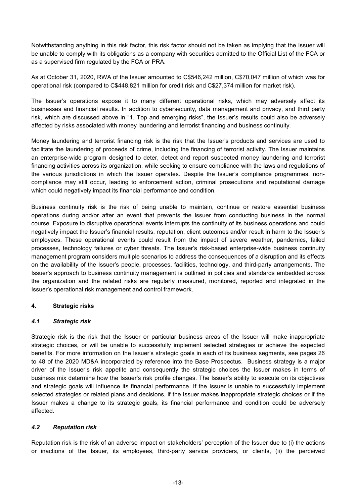Notwithstanding anything in this risk factor, this risk factor should not be taken as implying that the Issuer will be unable to comply with its obligations as a company with securities admitted to the Official List of the FCA or as a supervised firm regulated by the FCA or PRA.

As at October 31, 2020, RWA of the Issuer amounted to C\$546,242 million, C\$70,047 million of which was for operational risk (compared to C\$448,821 million for credit risk and C\$27,374 million for market risk).

The Issuer's operations expose it to many different operational risks, which may adversely affect its businesses and financial results. In addition to cybersecurity, data management and privacy, and third party risk, which are discussed above in "1. Top and emerging risks", the Issuer's results could also be adversely affected by risks associated with money laundering and terrorist financing and business continuity.

Money laundering and terrorist financing risk is the risk that the Issuer's products and services are used to facilitate the laundering of proceeds of crime, including the financing of terrorist activity. The Issuer maintains an enterprise-wide program designed to deter, detect and report suspected money laundering and terrorist financing activities across its organization, while seeking to ensure compliance with the laws and regulations of the various jurisdictions in which the Issuer operates. Despite the Issuer's compliance programmes, noncompliance may still occur, leading to enforcement action, criminal prosecutions and reputational damage which could negatively impact its financial performance and condition.

Business continuity risk is the risk of being unable to maintain, continue or restore essential business operations during and/or after an event that prevents the Issuer from conducting business in the normal course. Exposure to disruptive operational events interrupts the continuity of its business operations and could negatively impact the Issuer's financial results, reputation, client outcomes and/or result in harm to the Issuer's employees. These operational events could result from the impact of severe weather, pandemics, failed processes, technology failures or cyber threats. The Issuer's risk-based enterprise-wide business continuity management program considers multiple scenarios to address the consequences of a disruption and its effects on the availability of the Issuer's people, processes, facilities, technology, and third-party arrangements. The Issuer's approach to business continuity management is outlined in policies and standards embedded across the organization and the related risks are regularly measured, monitored, reported and integrated in the Issuer's operational risk management and control framework.

#### **4. Strategic risks**

#### *4.1 Strategic risk*

Strategic risk is the risk that the Issuer or particular business areas of the Issuer will make inappropriate strategic choices, or will be unable to successfully implement selected strategies or achieve the expected benefits. For more information on the Issuer's strategic goals in each of its business segments, see pages 26 to 48 of the 2020 MD&A incorporated by reference into the Base Prospectus. Business strategy is a major driver of the Issuer's risk appetite and consequently the strategic choices the Issuer makes in terms of business mix determine how the Issuer's risk profile changes. The Issuer's ability to execute on its objectives and strategic goals will influence its financial performance. If the Issuer is unable to successfully implement selected strategies or related plans and decisions, if the Issuer makes inappropriate strategic choices or if the Issuer makes a change to its strategic goals, its financial performance and condition could be adversely affected.

## *4.2 Reputation risk*

Reputation risk is the risk of an adverse impact on stakeholders' perception of the Issuer due to (i) the actions or inactions of the Issuer, its employees, third-party service providers, or clients, (ii) the perceived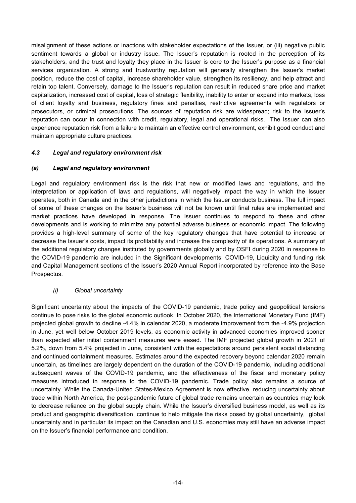misalignment of these actions or inactions with stakeholder expectations of the Issuer, or (iii) negative public sentiment towards a global or industry issue. The Issuer's reputation is rooted in the perception of its stakeholders, and the trust and loyalty they place in the Issuer is core to the Issuer's purpose as a financial services organization. A strong and trustworthy reputation will generally strengthen the Issuer's market position, reduce the cost of capital, increase shareholder value, strengthen its resiliency, and help attract and retain top talent. Conversely, damage to the Issuer's reputation can result in reduced share price and market capitalization, increased cost of capital, loss of strategic flexibility, inability to enter or expand into markets, loss of client loyalty and business, regulatory fines and penalties, restrictive agreements with regulators or prosecutors, or criminal prosecutions. The sources of reputation risk are widespread; risk to the Issuer's reputation can occur in connection with credit, regulatory, legal and operational risks. The Issuer can also experience reputation risk from a failure to maintain an effective control environment, exhibit good conduct and maintain appropriate culture practices.

## *4.3 Legal and regulatory environment risk*

#### *(a) Legal and regulatory environment*

Legal and regulatory environment risk is the risk that new or modified laws and regulations, and the interpretation or application of laws and regulations, will negatively impact the way in which the Issuer operates, both in Canada and in the other jurisdictions in which the Issuer conducts business. The full impact of some of these changes on the Issuer's business will not be known until final rules are implemented and market practices have developed in response. The Issuer continues to respond to these and other developments and is working to minimize any potential adverse business or economic impact. The following provides a high-level summary of some of the key regulatory changes that have potential to increase or decrease the Issuer's costs, impact its profitability and increase the complexity of its operations. A summary of the additional regulatory changes instituted by governments globally and by OSFI during 2020 in response to the COVID-19 pandemic are included in the Significant developments: COVID-19, Liquidity and funding risk and Capital Management sections of the Issuer's 2020 Annual Report incorporated by reference into the Base Prospectus.

#### *(i) Global uncertainty*

Significant uncertainty about the impacts of the COVID-19 pandemic, trade policy and geopolitical tensions continue to pose risks to the global economic outlook. In October 2020, the International Monetary Fund (IMF) projected global growth to decline -4.4% in calendar 2020, a moderate improvement from the -4.9% projection in June, yet well below October 2019 levels, as economic activity in advanced economies improved sooner than expected after initial containment measures were eased. The IMF projected global growth in 2021 of 5.2%, down from 5.4% projected in June, consistent with the expectations around persistent social distancing and continued containment measures. Estimates around the expected recovery beyond calendar 2020 remain uncertain, as timelines are largely dependent on the duration of the COVID-19 pandemic, including additional subsequent waves of the COVID-19 pandemic, and the effectiveness of the fiscal and monetary policy measures introduced in response to the COVID-19 pandemic. Trade policy also remains a source of uncertainty. While the Canada-United States-Mexico Agreement is now effective, reducing uncertainty about trade within North America, the post-pandemic future of global trade remains uncertain as countries may look to decrease reliance on the global supply chain. While the Issuer's diversified business model, as well as its product and geographic diversification, continue to help mitigate the risks posed by global uncertainty, global uncertainty and in particular its impact on the Canadian and U.S. economies may still have an adverse impact on the Issuer's financial performance and condition.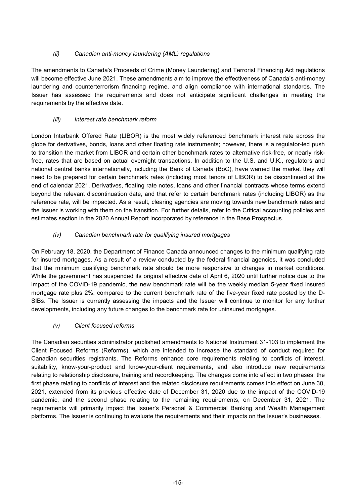# *(ii) Canadian anti-money laundering (AML) regulations*

The amendments to Canada's Proceeds of Crime (Money Laundering) and Terrorist Financing Act regulations will become effective June 2021. These amendments aim to improve the effectiveness of Canada's anti-money laundering and counterterrorism financing regime, and align compliance with international standards. The Issuer has assessed the requirements and does not anticipate significant challenges in meeting the requirements by the effective date.

# *(iii) Interest rate benchmark reform*

London Interbank Offered Rate (LIBOR) is the most widely referenced benchmark interest rate across the globe for derivatives, bonds, loans and other floating rate instruments; however, there is a regulator-led push to transition the market from LIBOR and certain other benchmark rates to alternative risk-free, or nearly riskfree, rates that are based on actual overnight transactions. In addition to the U.S. and U.K., regulators and national central banks internationally, including the Bank of Canada (BoC), have warned the market they will need to be prepared for certain benchmark rates (including most tenors of LIBOR) to be discontinued at the end of calendar 2021. Derivatives, floating rate notes, loans and other financial contracts whose terms extend beyond the relevant discontinuation date, and that refer to certain benchmark rates (including LIBOR) as the reference rate, will be impacted. As a result, clearing agencies are moving towards new benchmark rates and the Issuer is working with them on the transition. For further details, refer to the Critical accounting policies and estimates section in the 2020 Annual Report incorporated by reference in the Base Prospectus.

# *(iv) Canadian benchmark rate for qualifying insured mortgages*

On February 18, 2020, the Department of Finance Canada announced changes to the minimum qualifying rate for insured mortgages. As a result of a review conducted by the federal financial agencies, it was concluded that the minimum qualifying benchmark rate should be more responsive to changes in market conditions. While the government has suspended its original effective date of April 6, 2020 until further notice due to the impact of the COVID-19 pandemic, the new benchmark rate will be the weekly median 5-year fixed insured mortgage rate plus 2%, compared to the current benchmark rate of the five-year fixed rate posted by the D-SIBs. The Issuer is currently assessing the impacts and the Issuer will continue to monitor for any further developments, including any future changes to the benchmark rate for uninsured mortgages.

## *(v) Client focused reforms*

The Canadian securities administrator published amendments to National Instrument 31-103 to implement the Client Focused Reforms (Reforms), which are intended to increase the standard of conduct required for Canadian securities registrants. The Reforms enhance core requirements relating to conflicts of interest, suitability, know-your-product and know-your-client requirements, and also introduce new requirements relating to relationship disclosure, training and recordkeeping. The changes come into effect in two phases: the first phase relating to conflicts of interest and the related disclosure requirements comes into effect on June 30, 2021, extended from its previous effective date of December 31, 2020 due to the impact of the COVID-19 pandemic, and the second phase relating to the remaining requirements, on December 31, 2021. The requirements will primarily impact the Issuer's Personal & Commercial Banking and Wealth Management platforms. The Issuer is continuing to evaluate the requirements and their impacts on the Issuer's businesses.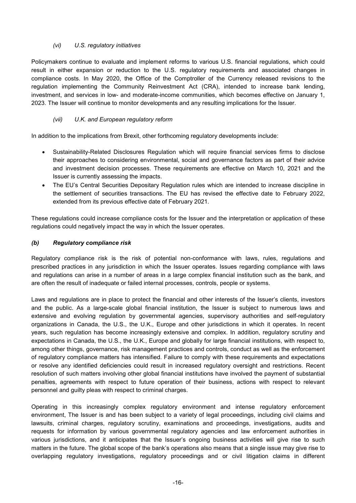# *(vi) U.S. regulatory initiatives*

Policymakers continue to evaluate and implement reforms to various U.S. financial regulations, which could result in either expansion or reduction to the U.S. regulatory requirements and associated changes in compliance costs. In May 2020, the Office of the Comptroller of the Currency released revisions to the regulation implementing the Community Reinvestment Act (CRA), intended to increase bank lending, investment, and services in low- and moderate-income communities, which becomes effective on January 1, 2023. The Issuer will continue to monitor developments and any resulting implications for the Issuer.

## *(vii) U.K. and European regulatory reform*

In addition to the implications from Brexit, other forthcoming regulatory developments include:

- Sustainability-Related Disclosures Regulation which will require financial services firms to disclose their approaches to considering environmental, social and governance factors as part of their advice and investment decision processes. These requirements are effective on March 10, 2021 and the Issuer is currently assessing the impacts.
- The EU's Central Securities Depositary Regulation rules which are intended to increase discipline in the settlement of securities transactions. The EU has revised the effective date to February 2022, extended from its previous effective date of February 2021.

These regulations could increase compliance costs for the Issuer and the interpretation or application of these regulations could negatively impact the way in which the Issuer operates.

#### *(b) Regulatory compliance risk*

Regulatory compliance risk is the risk of potential non-conformance with laws, rules, regulations and prescribed practices in any jurisdiction in which the Issuer operates. Issues regarding compliance with laws and regulations can arise in a number of areas in a large complex financial institution such as the bank, and are often the result of inadequate or failed internal processes, controls, people or systems.

Laws and regulations are in place to protect the financial and other interests of the Issuer's clients, investors and the public. As a large-scale global financial institution, the Issuer is subject to numerous laws and extensive and evolving regulation by governmental agencies, supervisory authorities and self-regulatory organizations in Canada, the U.S., the U.K., Europe and other jurisdictions in which it operates. In recent years, such regulation has become increasingly extensive and complex. In addition, regulatory scrutiny and expectations in Canada, the U.S., the U.K., Europe and globally for large financial institutions, with respect to, among other things, governance, risk management practices and controls, conduct as well as the enforcement of regulatory compliance matters has intensified. Failure to comply with these requirements and expectations or resolve any identified deficiencies could result in increased regulatory oversight and restrictions. Recent resolution of such matters involving other global financial institutions have involved the payment of substantial penalties, agreements with respect to future operation of their business, actions with respect to relevant personnel and guilty pleas with respect to criminal charges.

Operating in this increasingly complex regulatory environment and intense regulatory enforcement environment, The Issuer is and has been subject to a variety of legal proceedings, including civil claims and lawsuits, criminal charges, regulatory scrutiny, examinations and proceedings, investigations, audits and requests for information by various governmental regulatory agencies and law enforcement authorities in various jurisdictions, and it anticipates that the Issuer's ongoing business activities will give rise to such matters in the future. The global scope of the bank's operations also means that a single issue may give rise to overlapping regulatory investigations, regulatory proceedings and or civil litigation claims in different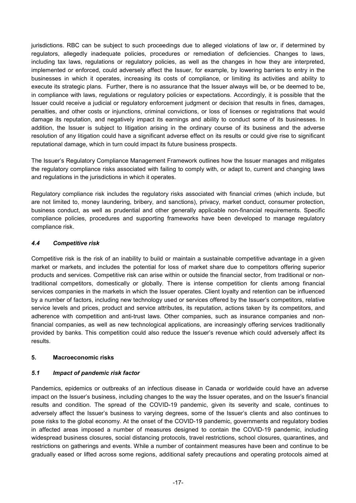jurisdictions. RBC can be subject to such proceedings due to alleged violations of law or, if determined by regulators, allegedly inadequate policies, procedures or remediation of deficiencies. Changes to laws, including tax laws, regulations or regulatory policies, as well as the changes in how they are interpreted, implemented or enforced, could adversely affect the Issuer, for example, by lowering barriers to entry in the businesses in which it operates, increasing its costs of compliance, or limiting its activities and ability to execute its strategic plans. Further, there is no assurance that the Issuer always will be, or be deemed to be, in compliance with laws, regulations or regulatory policies or expectations. Accordingly, it is possible that the Issuer could receive a judicial or regulatory enforcement judgment or decision that results in fines, damages, penalties, and other costs or injunctions, criminal convictions, or loss of licenses or registrations that would damage its reputation, and negatively impact its earnings and ability to conduct some of its businesses. In addition, the Issuer is subject to litigation arising in the ordinary course of its business and the adverse resolution of any litigation could have a significant adverse effect on its results or could give rise to significant reputational damage, which in turn could impact its future business prospects.

The Issuer's Regulatory Compliance Management Framework outlines how the Issuer manages and mitigates the regulatory compliance risks associated with failing to comply with, or adapt to, current and changing laws and regulations in the jurisdictions in which it operates.

Regulatory compliance risk includes the regulatory risks associated with financial crimes (which include, but are not limited to, money laundering, bribery, and sanctions), privacy, market conduct, consumer protection, business conduct, as well as prudential and other generally applicable non-financial requirements. Specific compliance policies, procedures and supporting frameworks have been developed to manage regulatory compliance risk.

#### *4.4 Competitive risk*

Competitive risk is the risk of an inability to build or maintain a sustainable competitive advantage in a given market or markets, and includes the potential for loss of market share due to competitors offering superior products and services. Competitive risk can arise within or outside the financial sector, from traditional or nontraditional competitors, domestically or globally. There is intense competition for clients among financial services companies in the markets in which the Issuer operates. Client loyalty and retention can be influenced by a number of factors, including new technology used or services offered by the Issuer's competitors, relative service levels and prices, product and service attributes, its reputation, actions taken by its competitors, and adherence with competition and anti-trust laws. Other companies, such as insurance companies and nonfinancial companies, as well as new technological applications, are increasingly offering services traditionally provided by banks. This competition could also reduce the Issuer's revenue which could adversely affect its results.

#### **5. Macroeconomic risks**

## *5.1 Impact of pandemic risk factor*

Pandemics, epidemics or outbreaks of an infectious disease in Canada or worldwide could have an adverse impact on the Issuer's business, including changes to the way the Issuer operates, and on the Issuer's financial results and condition. The spread of the COVID-19 pandemic, given its severity and scale, continues to adversely affect the Issuer's business to varying degrees, some of the Issuer's clients and also continues to pose risks to the global economy. At the onset of the COVID-19 pandemic, governments and regulatory bodies in affected areas imposed a number of measures designed to contain the COVID-19 pandemic, including widespread business closures, social distancing protocols, travel restrictions, school closures, quarantines, and restrictions on gatherings and events. While a number of containment measures have been and continue to be gradually eased or lifted across some regions, additional safety precautions and operating protocols aimed at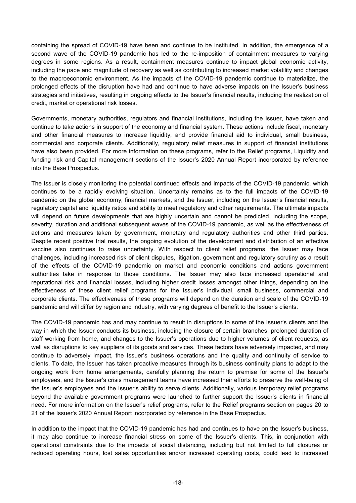containing the spread of COVID-19 have been and continue to be instituted. In addition, the emergence of a second wave of the COVID-19 pandemic has led to the re-imposition of containment measures to varying degrees in some regions. As a result, containment measures continue to impact global economic activity, including the pace and magnitude of recovery as well as contributing to increased market volatility and changes to the macroeconomic environment. As the impacts of the COVID-19 pandemic continue to materialize, the prolonged effects of the disruption have had and continue to have adverse impacts on the Issuer's business strategies and initiatives, resulting in ongoing effects to the Issuer's financial results, including the realization of credit, market or operational risk losses.

Governments, monetary authorities, regulators and financial institutions, including the Issuer, have taken and continue to take actions in support of the economy and financial system. These actions include fiscal, monetary and other financial measures to increase liquidity, and provide financial aid to individual, small business, commercial and corporate clients. Additionally, regulatory relief measures in support of financial institutions have also been provided. For more information on these programs, refer to the Relief programs, Liquidity and funding risk and Capital management sections of the Issuer's 2020 Annual Report incorporated by reference into the Base Prospectus.

The Issuer is closely monitoring the potential continued effects and impacts of the COVID-19 pandemic, which continues to be a rapidly evolving situation. Uncertainty remains as to the full impacts of the COVID-19 pandemic on the global economy, financial markets, and the Issuer, including on the Issuer's financial results, regulatory capital and liquidity ratios and ability to meet regulatory and other requirements. The ultimate impacts will depend on future developments that are highly uncertain and cannot be predicted, including the scope, severity, duration and additional subsequent waves of the COVID-19 pandemic, as well as the effectiveness of actions and measures taken by government, monetary and regulatory authorities and other third parties. Despite recent positive trial results, the ongoing evolution of the development and distribution of an effective vaccine also continues to raise uncertainty. With respect to client relief programs, the Issuer may face challenges, including increased risk of client disputes, litigation, government and regulatory scrutiny as a result of the effects of the COVID-19 pandemic on market and economic conditions and actions government authorities take in response to those conditions. The Issuer may also face increased operational and reputational risk and financial losses, including higher credit losses amongst other things, depending on the effectiveness of these client relief programs for the Issuer's individual, small business, commercial and corporate clients. The effectiveness of these programs will depend on the duration and scale of the COVID-19 pandemic and will differ by region and industry, with varying degrees of benefit to the Issuer's clients.

The COVID-19 pandemic has and may continue to result in disruptions to some of the Issuer's clients and the way in which the Issuer conducts its business, including the closure of certain branches, prolonged duration of staff working from home, and changes to the Issuer's operations due to higher volumes of client requests, as well as disruptions to key suppliers of its goods and services. These factors have adversely impacted, and may continue to adversely impact, the Issuer's business operations and the quality and continuity of service to clients. To date, the Issuer has taken proactive measures through its business continuity plans to adapt to the ongoing work from home arrangements, carefully planning the return to premise for some of the Issuer's employees, and the Issuer's crisis management teams have increased their efforts to preserve the well-being of the Issuer's employees and the Issuer's ability to serve clients. Additionally, various temporary relief programs beyond the available government programs were launched to further support the Issuer's clients in financial need. For more information on the Issuer's relief programs, refer to the Relief programs section on pages 20 to 21 of the Issuer's 2020 Annual Report incorporated by reference in the Base Prospectus.

In addition to the impact that the COVID-19 pandemic has had and continues to have on the Issuer's business, it may also continue to increase financial stress on some of the Issuer's clients. This, in conjunction with operational constraints due to the impacts of social distancing, including but not limited to full closures or reduced operating hours, lost sales opportunities and/or increased operating costs, could lead to increased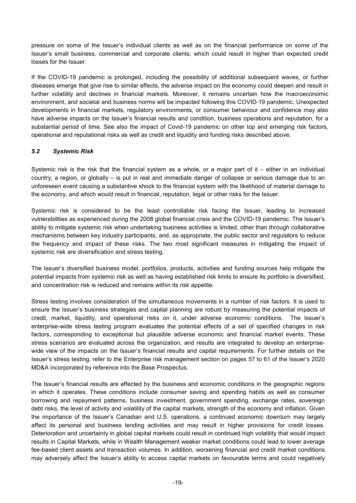pressure on some of the Issuer's individual clients as well as on the financial performance on some of the Issuer's small business, commercial and corporate clients, which could result in higher than expected credit losses for the Issuer.

If the COVID-19 pandemic is prolonged, including the possibility of additional subsequent waves, or further diseases emerge that give rise to similar effects, the adverse impact on the economy could deepen and result in further volatility and declines in financial markets. Moreover, it remains uncertain how the macroeconomic environment, and societal and business norms will be impacted following this COVID-19 pandemic. Unexpected developments in financial markets, regulatory environments, or consumer behaviour and confidence may also have adverse impacts on the Issuer's financial results and condition, business operations and reputation, for a substantial period of time. See also the impact of Covid-19 pandemic on other top and emerging risk factors, operational and reputational risks as well as credit and liquidity and funding risks described above.

## *5.2 Systemic Risk*

Systemic risk is the risk that the financial system as a whole, or a major part of it – either in an individual country, a region, or globally – is put in real and immediate danger of collapse or serious damage due to an unforeseen event causing a substantive shock to the financial system with the likelihood of material damage to the economy, and which would result in financial, reputation, legal or other risks for the Issuer.

Systemic risk is considered to be the least controllable risk facing the Issuer, leading to increased vulnerabilities as experienced during the 2008 global financial crisis and the COVID-19 pandemic. The Issuer's ability to mitigate systemic risk when undertaking business activities is limited, other than through collaborative mechanisms between key industry participants, and, as appropriate, the public sector and regulators to reduce the frequency and impact of these risks. The two most significant measures in mitigating the impact of systemic risk are diversification and stress testing.

The Issuer's diversified business model, portfolios, products, activities and funding sources help mitigate the potential impacts from systemic risk as well as having established risk limits to ensure its portfolio is diversified, and concentration risk is reduced and remains within its risk appetite.

Stress testing involves consideration of the simultaneous movements in a number of risk factors. It is used to ensure the Issuer's business strategies and capital planning are robust by measuring the potential impacts of credit, market, liquidity, and operational risks on it, under adverse economic conditions. The Issuer's enterprise-wide stress testing program evaluates the potential effects of a set of specified changes in risk factors, corresponding to exceptional but plausible adverse economic and financial market events. These stress scenarios are evaluated across the organization, and results are integrated to develop an enterprisewide view of the impacts on the Issuer's financial results and capital requirements. For further details on the Issuer's stress testing, refer to the Enterprise risk management section on pages 57 to 61 of the Issuer's 2020 MD&A incorporated by reference into the Base Prospectus.

The Issuer's financial results are affected by the business and economic conditions in the geographic regions in which it operates. These conditions include consumer saving and spending habits as well as consumer borrowing and repayment patterns, business investment, government spending, exchange rates, sovereign debt risks, the level of activity and volatility of the capital markets, strength of the economy and inflation. Given the importance of the Issuer's Canadian and U.S. operations, a continued economic downturn may largely affect its personal and business lending activities and may result in higher provisions for credit losses. Deterioration and uncertainty in global capital markets could result in continued high volatility that would impact results in Capital Markets, while in Wealth Management weaker market conditions could lead to lower average fee-based client assets and transaction volumes. In addition, worsening financial and credit market conditions may adversely affect the Issuer's ability to access capital markets on favourable terms and could negatively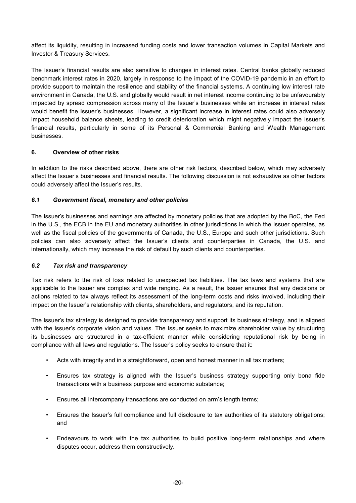affect its liquidity, resulting in increased funding costs and lower transaction volumes in Capital Markets and Investor & Treasury Services.

The Issuer's financial results are also sensitive to changes in interest rates. Central banks globally reduced benchmark interest rates in 2020, largely in response to the impact of the COVID-19 pandemic in an effort to provide support to maintain the resilience and stability of the financial systems. A continuing low interest rate environment in Canada, the U.S. and globally would result in net interest income continuing to be unfavourably impacted by spread compression across many of the Issuer's businesses while an increase in interest rates would benefit the Issuer's businesses. However, a significant increase in interest rates could also adversely impact household balance sheets, leading to credit deterioration which might negatively impact the Issuer's financial results, particularly in some of its Personal & Commercial Banking and Wealth Management businesses.

## **6. Overview of other risks**

In addition to the risks described above, there are other risk factors, described below, which may adversely affect the Issuer's businesses and financial results. The following discussion is not exhaustive as other factors could adversely affect the Issuer's results.

#### *6.1 Government fiscal, monetary and other policies*

The Issuer's businesses and earnings are affected by monetary policies that are adopted by the BoC, the Fed in the U.S., the ECB in the EU and monetary authorities in other jurisdictions in which the Issuer operates, as well as the fiscal policies of the governments of Canada, the U.S., Europe and such other jurisdictions. Such policies can also adversely affect the Issuer's clients and counterparties in Canada, the U.S. and internationally, which may increase the risk of default by such clients and counterparties.

#### *6.2 Tax risk and transparency*

Tax risk refers to the risk of loss related to unexpected tax liabilities. The tax laws and systems that are applicable to the Issuer are complex and wide ranging. As a result, the Issuer ensures that any decisions or actions related to tax always reflect its assessment of the long-term costs and risks involved, including their impact on the Issuer's relationship with clients, shareholders, and regulators, and its reputation.

The Issuer's tax strategy is designed to provide transparency and support its business strategy, and is aligned with the Issuer's corporate vision and values. The Issuer seeks to maximize shareholder value by structuring its businesses are structured in a tax-efficient manner while considering reputational risk by being in compliance with all laws and regulations. The Issuer's policy seeks to ensure that it:

- Acts with integrity and in a straightforward, open and honest manner in all tax matters;
- Ensures tax strategy is aligned with the Issuer's business strategy supporting only bona fide transactions with a business purpose and economic substance;
- Ensures all intercompany transactions are conducted on arm's length terms;
- Ensures the Issuer's full compliance and full disclosure to tax authorities of its statutory obligations; and
- Endeavours to work with the tax authorities to build positive long-term relationships and where disputes occur, address them constructively.